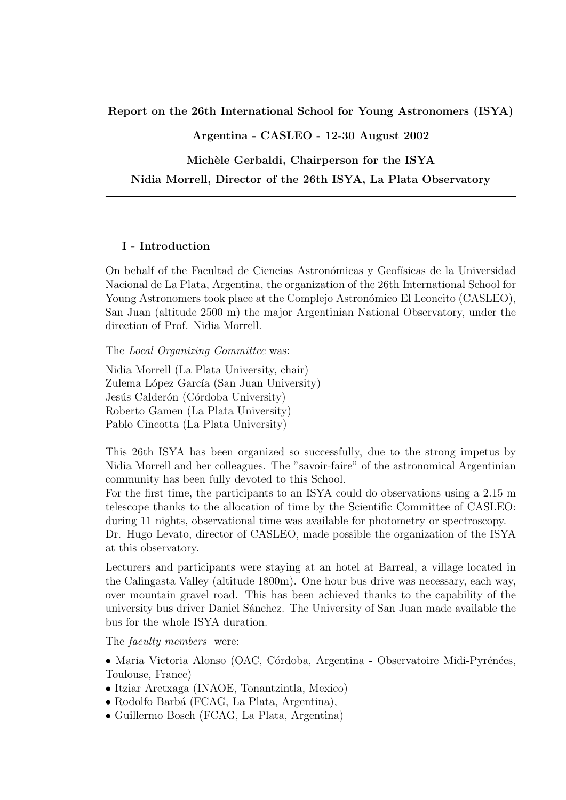Report on the 26th International School for Young Astronomers (ISYA)

Argentina - CASLEO - 12-30 August 2002

Michèle Gerbaldi, Chairperson for the ISYA

Nidia Morrell, Director of the 26th ISYA, La Plata Observatory

### I - Introduction

On behalf of the Facultad de Ciencias Astronómicas y Geofísicas de la Universidad Nacional de La Plata, Argentina, the organization of the 26th International School for Young Astronomers took place at the Complejo Astronómico El Leoncito (CASLEO), San Juan (altitude 2500 m) the major Argentinian National Observatory, under the direction of Prof. Nidia Morrell.

The Local Organizing Committee was:

Nidia Morrell (La Plata University, chair) Zulema López García (San Juan University) Jesús Calderón (Córdoba University) Roberto Gamen (La Plata University) Pablo Cincotta (La Plata University)

This 26th ISYA has been organized so successfully, due to the strong impetus by Nidia Morrell and her colleagues. The "savoir-faire" of the astronomical Argentinian community has been fully devoted to this School.

For the first time, the participants to an ISYA could do observations using a 2.15 m telescope thanks to the allocation of time by the Scientific Committee of CASLEO: during 11 nights, observational time was available for photometry or spectroscopy.

Dr. Hugo Levato, director of CASLEO, made possible the organization of the ISYA at this observatory.

Lecturers and participants were staying at an hotel at Barreal, a village located in the Calingasta Valley (altitude 1800m). One hour bus drive was necessary, each way, over mountain gravel road. This has been achieved thanks to the capability of the university bus driver Daniel Sánchez. The University of San Juan made available the bus for the whole ISYA duration.

The *faculty members* were:

• Maria Victoria Alonso (OAC, Córdoba, Argentina - Observatoire Midi-Pyrénées, Toulouse, France)

- Itziar Aretxaga (INAOE, Tonantzintla, Mexico)
- Rodolfo Barbá (FCAG, La Plata, Argentina),
- Guillermo Bosch (FCAG, La Plata, Argentina)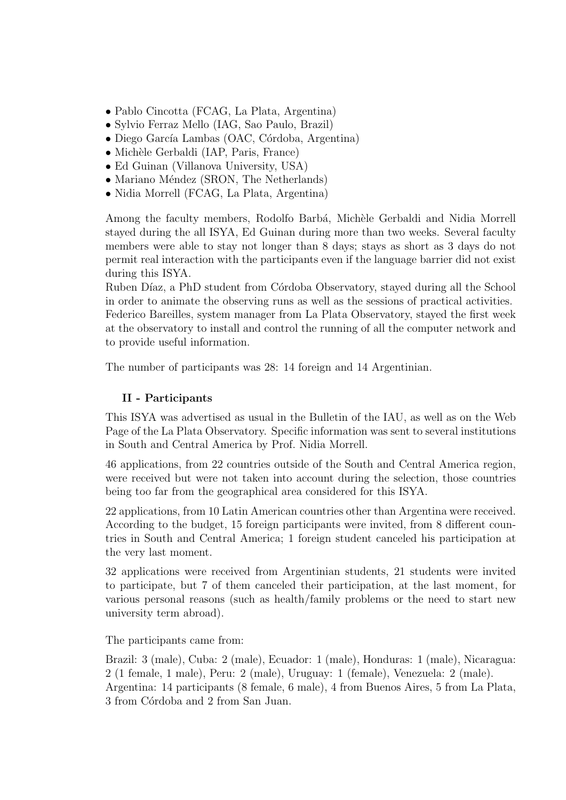- Pablo Cincotta (FCAG, La Plata, Argentina)
- Sylvio Ferraz Mello (IAG, Sao Paulo, Brazil)
- Diego García Lambas (OAC, Córdoba, Argentina)
- Michèle Gerbaldi (IAP, Paris, France)
- Ed Guinan (Villanova University, USA)
- Mariano Méndez (SRON, The Netherlands)
- Nidia Morrell (FCAG, La Plata, Argentina)

Among the faculty members, Rodolfo Barbá, Michèle Gerbaldi and Nidia Morrell stayed during the all ISYA, Ed Guinan during more than two weeks. Several faculty members were able to stay not longer than 8 days; stays as short as 3 days do not permit real interaction with the participants even if the language barrier did not exist during this ISYA.

Ruben Díaz, a PhD student from Córdoba Observatory, stayed during all the School in order to animate the observing runs as well as the sessions of practical activities.

Federico Bareilles, system manager from La Plata Observatory, stayed the first week at the observatory to install and control the running of all the computer network and to provide useful information.

The number of participants was 28: 14 foreign and 14 Argentinian.

# II - Participants

This ISYA was advertised as usual in the Bulletin of the IAU, as well as on the Web Page of the La Plata Observatory. Specific information was sent to several institutions in South and Central America by Prof. Nidia Morrell.

46 applications, from 22 countries outside of the South and Central America region, were received but were not taken into account during the selection, those countries being too far from the geographical area considered for this ISYA.

22 applications, from 10 Latin American countries other than Argentina were received. According to the budget, 15 foreign participants were invited, from 8 different countries in South and Central America; 1 foreign student canceled his participation at the very last moment.

32 applications were received from Argentinian students, 21 students were invited to participate, but 7 of them canceled their participation, at the last moment, for various personal reasons (such as health/family problems or the need to start new university term abroad).

The participants came from:

Brazil: 3 (male), Cuba: 2 (male), Ecuador: 1 (male), Honduras: 1 (male), Nicaragua: 2 (1 female, 1 male), Peru: 2 (male), Uruguay: 1 (female), Venezuela: 2 (male). Argentina: 14 participants (8 female, 6 male), 4 from Buenos Aires, 5 from La Plata, 3 from Córdoba and 2 from San Juan.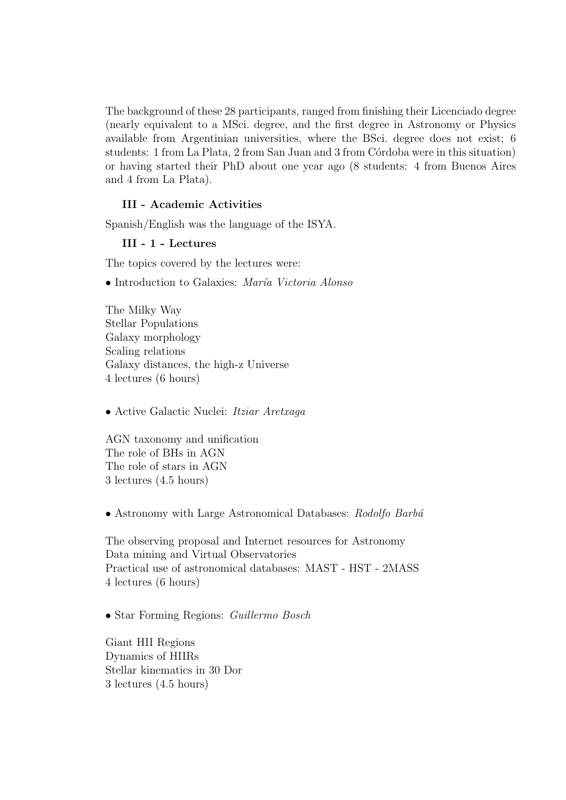The background of these 28 participants, ranged from finishing their Licenciado degree (nearly equivalent to a MSci. degree, and the first degree in Astronomy or Physics available from Argentinian universities, where the BSci. degree does not exist; 6 students: 1 from La Plata, 2 from San Juan and 3 from Córdoba were in this situation) or having started their PhD about one year ago (8 students: 4 from Buenos Aires and 4 from La Plata).

## III - Academic Activities

Spanish/English was the language of the ISYA.

#### III - 1 - Lectures

The topics covered by the lectures were:

#### • Introduction to Galaxies: María Victoria Alonso

The Milky Way Stellar Populations Galaxy morphology Scaling relations Galaxy distances, the high-z Universe 4 lectures (6 hours)

• Active Galactic Nuclei: Itziar Aretxaga

AGN taxonomy and unification The role of BHs in AGN The role of stars in AGN 3 lectures (4.5 hours)

• Astronomy with Large Astronomical Databases: Rodolfo Barbá

The observing proposal and Internet resources for Astronomy Data mining and Virtual Observatories Practical use of astronomical databases: MAST - HST - 2MASS 4 lectures (6 hours)

• Star Forming Regions: *Guillermo Bosch* 

Giant HII Regions Dynamics of HIIRs Stellar kinematics in 30 Dor 3 lectures (4.5 hours)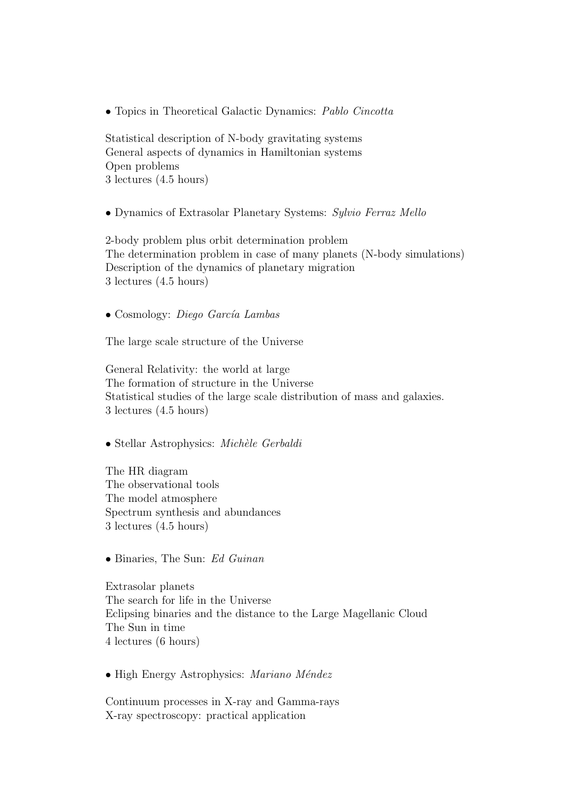• Topics in Theoretical Galactic Dynamics: Pablo Cincotta

Statistical description of N-body gravitating systems General aspects of dynamics in Hamiltonian systems Open problems 3 lectures (4.5 hours)

• Dynamics of Extrasolar Planetary Systems: Sylvio Ferraz Mello

2-body problem plus orbit determination problem The determination problem in case of many planets (N-body simulations) Description of the dynamics of planetary migration 3 lectures (4.5 hours)

• Cosmology: *Diego García Lambas* 

The large scale structure of the Universe

General Relativity: the world at large The formation of structure in the Universe Statistical studies of the large scale distribution of mass and galaxies. 3 lectures (4.5 hours)

 $\bullet$  Stellar Astrophysics: Michèle Gerbaldi

The HR diagram The observational tools The model atmosphere Spectrum synthesis and abundances 3 lectures (4.5 hours)

• Binaries, The Sun: Ed Guinan

Extrasolar planets The search for life in the Universe Eclipsing binaries and the distance to the Large Magellanic Cloud The Sun in time 4 lectures (6 hours)

• High Energy Astrophysics: Mariano Méndez

Continuum processes in X-ray and Gamma-rays X-ray spectroscopy: practical application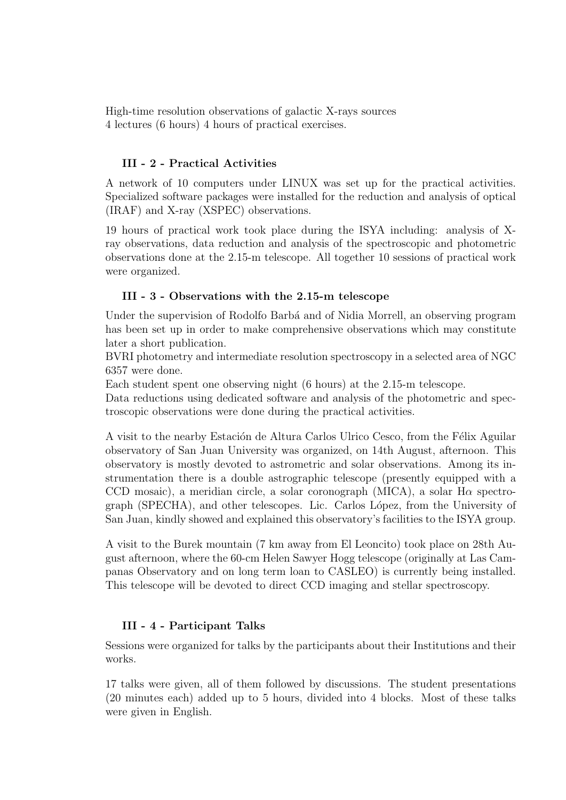High-time resolution observations of galactic X-rays sources 4 lectures (6 hours) 4 hours of practical exercises.

# III - 2 - Practical Activities

A network of 10 computers under LINUX was set up for the practical activities. Specialized software packages were installed for the reduction and analysis of optical (IRAF) and X-ray (XSPEC) observations.

19 hours of practical work took place during the ISYA including: analysis of Xray observations, data reduction and analysis of the spectroscopic and photometric observations done at the 2.15-m telescope. All together 10 sessions of practical work were organized.

# III - 3 - Observations with the 2.15-m telescope

Under the supervision of Rodolfo Barbá and of Nidia Morrell, an observing program has been set up in order to make comprehensive observations which may constitute later a short publication.

BVRI photometry and intermediate resolution spectroscopy in a selected area of NGC 6357 were done.

Each student spent one observing night (6 hours) at the 2.15-m telescope.

Data reductions using dedicated software and analysis of the photometric and spectroscopic observations were done during the practical activities.

A visit to the nearby Estación de Altura Carlos Ulrico Cesco, from the Félix Aguilar observatory of San Juan University was organized, on 14th August, afternoon. This observatory is mostly devoted to astrometric and solar observations. Among its instrumentation there is a double astrographic telescope (presently equipped with a CCD mosaic), a meridian circle, a solar coronograph (MICA), a solar  $H\alpha$  spectrograph (SPECHA), and other telescopes. Lic. Carlos L´opez, from the University of San Juan, kindly showed and explained this observatory's facilities to the ISYA group.

A visit to the Burek mountain (7 km away from El Leoncito) took place on 28th August afternoon, where the 60-cm Helen Sawyer Hogg telescope (originally at Las Campanas Observatory and on long term loan to CASLEO) is currently being installed. This telescope will be devoted to direct CCD imaging and stellar spectroscopy.

# III - 4 - Participant Talks

Sessions were organized for talks by the participants about their Institutions and their works.

17 talks were given, all of them followed by discussions. The student presentations (20 minutes each) added up to 5 hours, divided into 4 blocks. Most of these talks were given in English.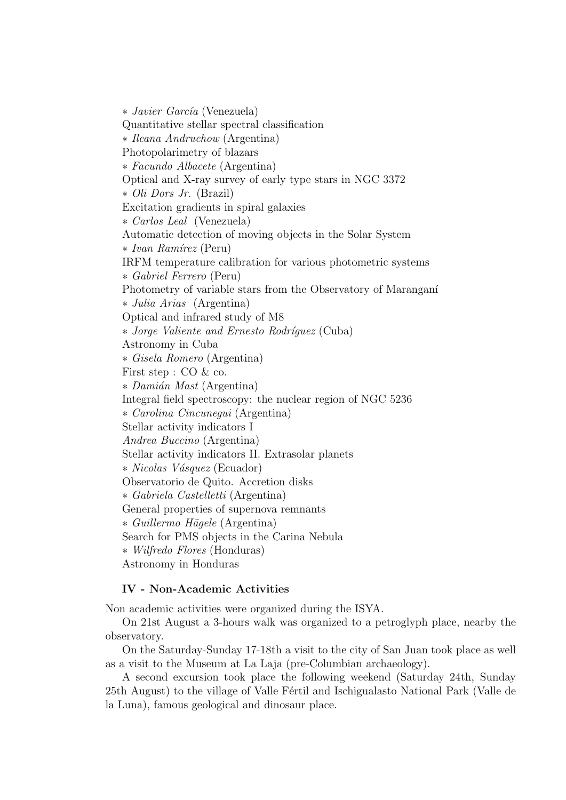∗ Javier García (Venezuela) Quantitative stellar spectral classification ∗ Ileana Andruchow (Argentina) Photopolarimetry of blazars ∗ Facundo Albacete (Argentina) Optical and X-ray survey of early type stars in NGC 3372 ∗ Oli Dors Jr. (Brazil) Excitation gradients in spiral galaxies ∗ Carlos Leal (Venezuela) Automatic detection of moving objects in the Solar System ∗ Ivan Ramírez (Peru) IRFM temperature calibration for various photometric systems ∗ Gabriel Ferrero (Peru) Photometry of variable stars from the Observatory of Maranganí ∗ Julia Arias (Argentina) Optical and infrared study of M8 ∗ Jorge Valiente and Ernesto Rodr´ıguez (Cuba) Astronomy in Cuba ∗ Gisela Romero (Argentina) First step : CO & co. ∗ Dami´an Mast (Argentina) Integral field spectroscopy: the nuclear region of NGC 5236 ∗ Carolina Cincunegui (Argentina) Stellar activity indicators I Andrea Buccino (Argentina) Stellar activity indicators II. Extrasolar planets ∗ Nicolas V´asquez (Ecuador) Observatorio de Quito. Accretion disks ∗ Gabriela Castelletti (Argentina) General properties of supernova remnants ∗ Guillermo H¨agele (Argentina) Search for PMS objects in the Carina Nebula ∗ Wilfredo Flores (Honduras) Astronomy in Honduras

## IV - Non-Academic Activities

Non academic activities were organized during the ISYA.

On 21st August a 3-hours walk was organized to a petroglyph place, nearby the observatory.

On the Saturday-Sunday 17-18th a visit to the city of San Juan took place as well as a visit to the Museum at La Laja (pre-Columbian archaeology).

A second excursion took place the following weekend (Saturday 24th, Sunday 25th August) to the village of Valle Fértil and Ischigualasto National Park (Valle de la Luna), famous geological and dinosaur place.